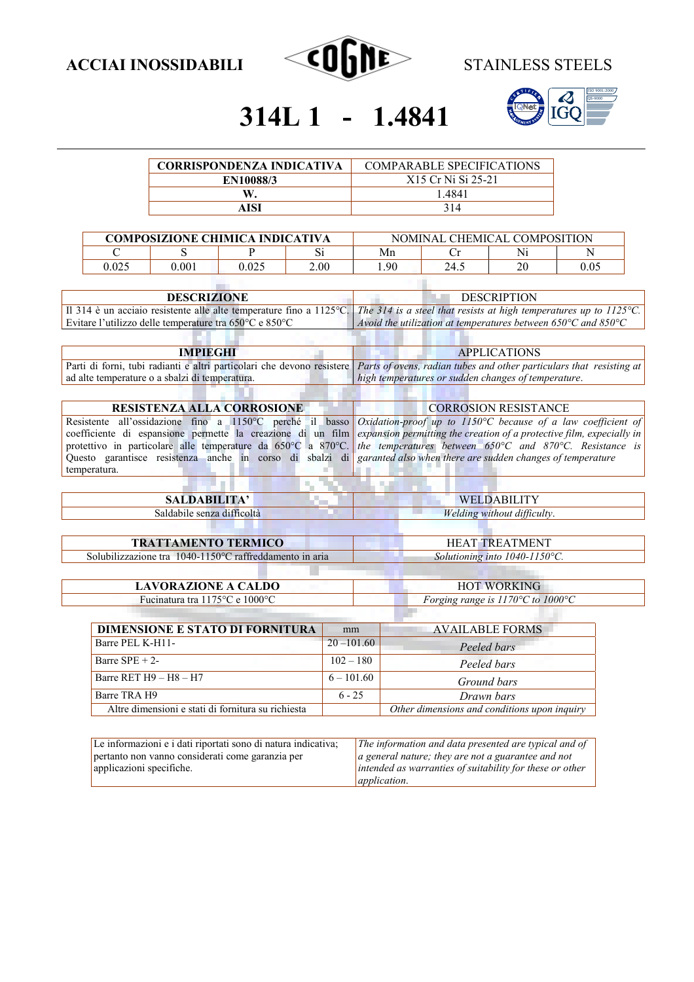



# 314L 1 - 1.4841

| <b>CORRISPONDENZA INDICATIVA</b> | <b>COMPARABLE SPECIFICATIONS</b> |
|----------------------------------|----------------------------------|
| <b>EN10088/3</b>                 | X <sub>15</sub> Cr Ni Si 25-21   |
|                                  | -4841                            |
| AISI                             | 314                              |

| <b>COMPOSIZIONE CHIMICA INDICATIVA</b> |       | NOMINAL CHEMICAL COMPOSITION |      |      |      |    |      |
|----------------------------------------|-------|------------------------------|------|------|------|----|------|
|                                        |       |                              | ιυ   | Mn   |      | Nì | N    |
| 0.025                                  | 0.001 | 0.025                        | 2.00 | 1.90 | 24.5 | 20 | 0.05 |
|                                        |       |                              |      |      |      |    |      |

| <b>DESCRIZIONE</b>                                                                                                                     | <b>DESCRIPTION</b>                                                                |
|----------------------------------------------------------------------------------------------------------------------------------------|-----------------------------------------------------------------------------------|
| Il 314 è un acciaio resistente alle alte temperature fino a 1125°C. The 314 is a steel that resists at high temperatures up to 1125°C. |                                                                                   |
| Evitare l'utilizzo delle temperature tra 650°C e 850°C                                                                                 | Avoid the utilization at temperatures between $650^{\circ}$ C and $850^{\circ}$ C |
|                                                                                                                                        |                                                                                   |

| <b>IMPIEGHI</b>                                                                                                                                    | <b>APPLICATIONS</b>                                 |
|----------------------------------------------------------------------------------------------------------------------------------------------------|-----------------------------------------------------|
| Parti di forni, tubi radianti e altri particolari che devono resistere <i>Parts of ovens, radian tubes and other particulars that resisting at</i> |                                                     |
| ad alte temperature o a sbalzi di temperatura.                                                                                                     | high temperatures or sudden changes of temperature. |

| RESISTENZA ALLA CORROSIONE                                                                                                                                          | <b>CORROSION RESISTANCE</b> |  |  |
|---------------------------------------------------------------------------------------------------------------------------------------------------------------------|-----------------------------|--|--|
|                                                                                                                                                                     |                             |  |  |
| Resistente all'ossidazione fino a 1150°C perché il basso Oxidation-proof up to 1150°C because of a law coefficient of                                               |                             |  |  |
| coefficiente di espansione permette la creazione di un film <i>expansion permitting the creation of a protective film, expecially in</i>                            |                             |  |  |
| protettivo in particolare alle temperature da $650^{\circ}$ C a $870^{\circ}$ C. <i>the temperatures between</i> $650^{\circ}$ C and $870^{\circ}$ C. Resistance is |                             |  |  |
| Questo garantisce resistenza anche in corso di sbalzi di garanted also when there are sudden changes of temperature                                                 |                             |  |  |
| temperatura.                                                                                                                                                        |                             |  |  |

<u> Timbul a</u>

| <b>SALDABILITA'</b>                                     | WELDABILITY                                           |
|---------------------------------------------------------|-------------------------------------------------------|
| Saldabile senza difficoltà                              | Welding without difficulty.                           |
|                                                         |                                                       |
| <b>TRATTAMENTO TERMICO</b>                              | <b>HEAT TREATMENT</b>                                 |
| Solubilizzazione tra 1040-1150°C raffreddamento in aria | Solutioning into 1040-1150°C.                         |
|                                                         |                                                       |
| <b>LAVORAZIONE A CALDO</b>                              | <b>HOT WORKING</b>                                    |
| Fucinatura tra 1175 °C e 1000 °C                        | Forging range is $1170^{\circ}$ C to $1000^{\circ}$ C |

| DIMENSIONE E STATO DI FORNITURA | mm            | <b>AVAILABLE FORMS</b> |
|---------------------------------|---------------|------------------------|
| Barre PEL K-H11-                | $20 - 101.60$ | Peeled bars            |
| Barre $SPE + 2$ -               | $102 - 180$   | Peeled bars            |
| Barre RET $H9 - H8 - H7$        | $6 - 101.60$  | Ground bars            |
| $D_{2}$ and $TD$ $\wedge$ $TD$  | $\cap$        | $\mathbf{r}$ in        |

**THE REPORT OF A SCHOOL COLLECTION** 

Barre TRA H9<br>Altre dimensioni e stati di fornitura su richiesta<br>*Other dimensions and conditions upon inquiry* Altre dimensioni e stati di fornitura su richiesta

| Le informazioni e i dati riportati sono di natura indicativa; | The information and data presented are typical and of            |
|---------------------------------------------------------------|------------------------------------------------------------------|
| pertanto non vanno considerati come garanzia per              | $ a $ general nature; they are not a guarantee and not           |
| applicazioni specifiche.                                      | $\vert$ intended as warranties of suitability for these or other |
|                                                               | <i>application.</i>                                              |